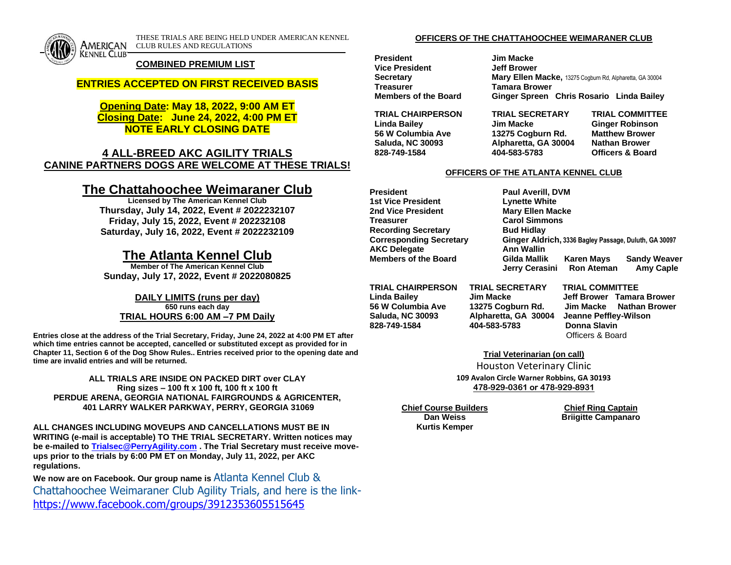

THESE TRIALS ARE BEING HELD UNDER AMERICAN KENNEL AMERICAN CLUB RULES AND REGULATIONS

#### **COMBINED PREMIUM LIST**

## **ENTRIES ACCEPTED ON FIRST RECEIVED BASIS**

# **Opening Date: May 18, 2022, 9:00 AM ET Closing Date: June 24, 2022, 4:00 PM ET NOTE EARLY CLOSING DATE**

# **4 ALL-BREED AKC AGILITY TRIALS CANINE PARTNERS DOGS ARE WELCOME AT THESE TRIALS!**

# **The Chattahoochee Weimaraner Club**

**Licensed by The American Kennel Club Thursday, July 14, 2022, Event # 2022232107 Friday, July 15, 2022, Event # 202232108 Saturday, July 16, 2022, Event # 2022232109**

# **The Atlanta Kennel Club**

**Member of The American Kennel Club Sunday, July 17, 2022, Event # 2022080825**

#### **DAILY LIMITS (runs per day) 650 runs each day**

**TRIAL HOURS 6:00 AM –7 PM Daily**

**Entries close at the address of the Trial Secretary, Friday, June 24, 2022 at 4:00 PM ET after which time entries cannot be accepted, cancelled or substituted except as provided for in Chapter 11, Section 6 of the Dog Show Rules.. Entries received prior to the opening date and time are invalid entries and will be returned.** 

**ALL TRIALS ARE INSIDE ON PACKED DIRT over CLAY Ring sizes – 100 ft x 100 ft, 100 ft x 100 ft PERDUE ARENA, GEORGIA NATIONAL FAIRGROUNDS & AGRICENTER, 401 LARRY WALKER PARKWAY, PERRY, GEORGIA 31069**

**ALL CHANGES INCLUDING MOVEUPS AND CANCELLATIONS MUST BE IN WRITING (e-mail is acceptable) TO THE TRIAL SECRETARY. Written notices may be e-mailed to [Trialsec@PerryAgility.com](mailto:Trialsec@PerryAgility.com) . The Trial Secretary must receive moveups prior to the trials by 6:00 PM ET on Monday, July 11, 2022, per AKC regulations.** 

**We now are on Facebook. Our group name is** Atlanta Kennel Club & Chattahoochee Weimaraner Club Agility Trials, and here is the link<https://www.facebook.com/groups/3912353605515645>

#### **OFFICERS OF THE CHATTAHOOCHEE WEIMARANER CLUB**

**President Jim Macke Vice President Jeff Brower Treasurer Tamara Brower**

**Secretary <b>Mary Ellen Macke**, 13275 Cogburn Rd, Alpharetta, GA 30004 **Members of the Board Ginger Spreen Chris Rosario Linda Bailey**

**TRIAL CHAIRPERSON TRIAL SECRETARY TRIAL COMMITTEE Linda Bailey Jim Macke Ginger Robinson 56 W Columbia Ave 13275 Cogburn Rd. Matthew Brower Saluda, NC 30093 Alpharetta, GA 30004 Nathan Brower 828-749-1584 404-583-5783 Officers & Board**

#### **OFFICERS OF THE ATLANTA KENNEL CLUB**

**President Paul Averill, DVM 1st Vice President Lynette White 2nd Vice President Mary Ellen Macke Treasurer Carol Simmons Recording Secretary <b>Bud Hidlay AKC Delegate Ann Wallin**

**Corresponding Secretary Ginger Aldrich, 3336 Bagley Passage, Duluth, GA 30097 Members of the Board Gilda Mallik Karen Mays Sandy Weaver Jerry Cerasini Ron Ateman Amy Caple**

**Saluda, NC 30093 Alpharetta, GA 30004 Jeanne Peffley-Wilson 828-749-1584 404-583-5783 Donna Slavin**

**TRIAL CHAIRPERSON TRIAL SECRETARY TRIAL COMMITTEE**

**Linda Bailey Jim Macke Jeff Brower Tamara Brower 56 W Columbia Ave 13275 Cogburn Rd. Jim Macke Nathan Brower** Officers & Board

**Trial Veterinarian (on call)**

Houston Veterinary Clinic **109 Avalon Circle Warner Robbins, GA 30193 478-929-0361 or 478-929-8931**

**Chief Course Builders Chief Ring Captain**

**Kurtis Kemper**

**Briigitte Campanaro**

**Dan Weiss**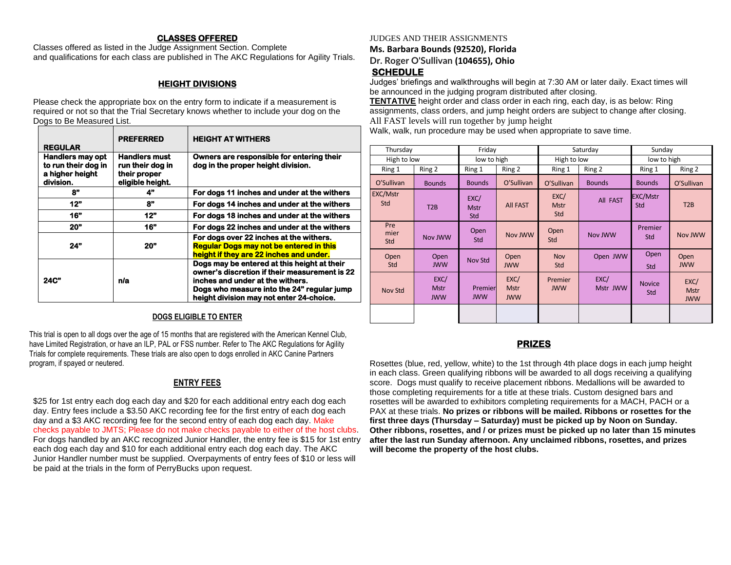### **CLASSES OFFERED**

Classes offered as listed in the Judge Assignment Section. Complete and qualifications for each class are published in The AKC Regulations for Agility Trials.

# **HEIGHT DIVISIONS**

Please check the appropriate box on the entry form to indicate if a measurement is required or not so that the Trial Secretary knows whether to include your dog on the Dogs to Be Measured List.

| <b>REGULAR</b>                                                                 | <b>PREFERRED</b>                                                             | <b>HEIGHT AT WITHERS</b>                                                                                                                                                                                                   |  |  |
|--------------------------------------------------------------------------------|------------------------------------------------------------------------------|----------------------------------------------------------------------------------------------------------------------------------------------------------------------------------------------------------------------------|--|--|
| <b>Handlers may opt</b><br>to run their dog in<br>a higher height<br>division. | <b>Handlers must</b><br>run their dog in<br>their proper<br>eligible height. | Owners are responsible for entering their<br>dog in the proper height division.                                                                                                                                            |  |  |
| 8"                                                                             | 4"                                                                           | For dogs 11 inches and under at the withers                                                                                                                                                                                |  |  |
| 12"                                                                            | 8"                                                                           | For dogs 14 inches and under at the withers                                                                                                                                                                                |  |  |
| 16"                                                                            | 12"                                                                          | For dogs 18 inches and under at the withers                                                                                                                                                                                |  |  |
| <b>20"</b>                                                                     | 16"                                                                          | For dogs 22 inches and under at the withers                                                                                                                                                                                |  |  |
| 24"                                                                            | 20"                                                                          | For dogs over 22 inches at the withers.<br><b>Regular Dogs may not be entered in this</b><br>height if they are 22 inches and under.                                                                                       |  |  |
| 24C"                                                                           | n/a                                                                          | Dogs may be entered at this height at their<br>owner's discretion if their measurement is 22<br>inches and under at the withers.<br>Dogs who measure into the 24" regular jump<br>height division may not enter 24-choice. |  |  |

#### **DOGS ELIGIBLE TO ENTER**

This trial is open to all dogs over the age of 15 months that are registered with the American Kennel Club, have Limited Registration, or have an ILP, PAL or FSS number. Refer to The AKC Regulations for Agility Trials for complete requirements. These trials are also open to dogs enrolled in AKC Canine Partners program, if spayed or neutered.

# **ENTRY FEES**

\$25 for 1st entry each dog each day and \$20 for each additional entry each dog each day. Entry fees include a \$3.50 AKC recording fee for the first entry of each dog each day and a \$3 AKC recording fee for the second entry of each dog each day. Make checks payable to JMTS; Please do not make checks payable to either of the host clubs. For dogs handled by an AKC recognized Junior Handler, the entry fee is \$15 for 1st entry each dog each day and \$10 for each additional entry each dog each day. The AKC Junior Handler number must be supplied. Overpayments of entry fees of \$10 or less will be paid at the trials in the form of PerryBucks upon request.

## JUDGES AND THEIR ASSIGNMENTS

**Ms. Barbara Bounds (92520), Florida**

**Dr. Roger O'Sullivan (104655), Ohio**

# **SCHEDULE**

Judges' briefings and walkthroughs will begin at 7:30 AM or later daily. Exact times will be announced in the judging program distributed after closing.

**TENTATIVE** height order and class order in each ring, each day, is as below: Ring assignments, class orders, and jump height orders are subject to change after closing. All FAST levels will run together by jump height

Walk, walk, run procedure may be used when appropriate to save time.

| Thursday           |                                   | Friday                     |                                   | Saturday                   |                  | Sunday               |                                   |
|--------------------|-----------------------------------|----------------------------|-----------------------------------|----------------------------|------------------|----------------------|-----------------------------------|
| High to low        |                                   | low to high                |                                   | High to low                |                  | low to high          |                                   |
| Ring 1             | Ring 2                            | Ring 1                     | Ring 2                            | Ring 1                     | Ring 2           | Ring 1               | Ring 2                            |
| O'Sullivan         | <b>Bounds</b>                     | <b>Bounds</b>              | O'Sullivan                        | O'Sullivan                 | <b>Bounds</b>    | <b>Bounds</b>        | O'Sullivan                        |
| EXC/Mstr<br>Std    | T <sub>2</sub> B                  | EXC/<br><b>Mstr</b><br>Std | <b>All FAST</b>                   | EXC/<br><b>Mstr</b><br>Std | All FAST         | EXC/Mstr<br>Std      | T <sub>2</sub> B                  |
| Pre<br>mier<br>Std | Nov JWW                           | Open<br>Std                | Nov JWW                           | Open<br>Std                | Nov JWW          | Premier<br>Std       | Nov JWW                           |
| Open<br>Std        | Open<br><b>JWW</b>                | Nov Std                    | Open<br><b>JWW</b>                | <b>Nov</b><br>Std          | Open JWW         | Open<br>Std          | Open<br><b>JWW</b>                |
| Nov Std            | EXC/<br><b>Mstr</b><br><b>JWW</b> | Premier<br><b>JWW</b>      | EXC/<br><b>Mstr</b><br><b>JWW</b> | Premier<br><b>JWW</b>      | EXC/<br>Mstr JWW | <b>Novice</b><br>Std | EXC/<br><b>Mstr</b><br><b>JWW</b> |
|                    |                                   |                            |                                   |                            |                  |                      |                                   |

# **PRIZES**

Rosettes (blue, red, yellow, white) to the 1st through 4th place dogs in each jump height in each class. Green qualifying ribbons will be awarded to all dogs receiving a qualifying score. Dogs must qualify to receive placement ribbons. Medallions will be awarded to those completing requirements for a title at these trials. Custom designed bars and rosettes will be awarded to exhibitors completing requirements for a MACH, PACH or a PAX at these trials. **No prizes or ribbons will be mailed. Ribbons or rosettes for the first three days (Thursday – Saturday) must be picked up by Noon on Sunday. Other ribbons, rosettes, and / or prizes must be picked up no later than 15 minutes after the last run Sunday afternoon. Any unclaimed ribbons, rosettes, and prizes will become the property of the host clubs.**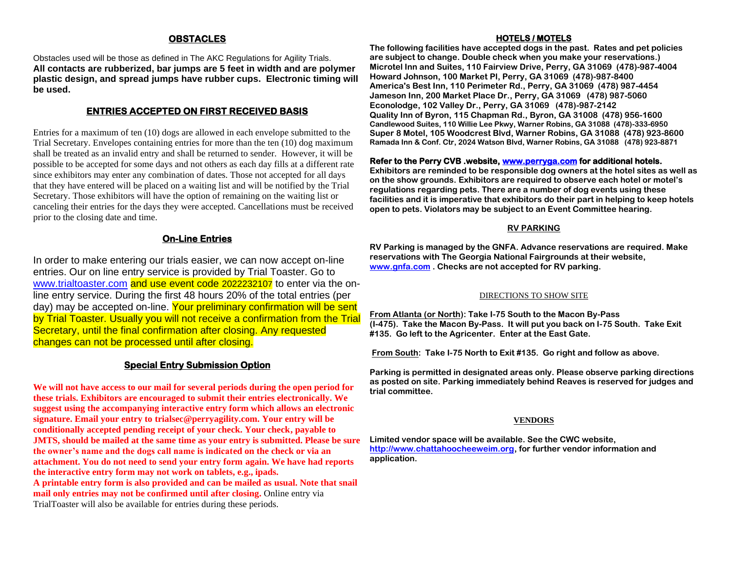### **OBSTACLES**

Obstacles used will be those as defined in The AKC Regulations for Agility Trials. **All contacts are rubberized, bar jumps are 5 feet in width and are polymer plastic design, and spread jumps have rubber cups. Electronic timing will be used.**

### **ENTRIES ACCEPTED ON FIRST RECEIVED BASIS**

Entries for a maximum of ten (10) dogs are allowed in each envelope submitted to the Trial Secretary. Envelopes containing entries for more than the ten (10) dog maximum shall be treated as an invalid entry and shall be returned to sender. However, it will be possible to be accepted for some days and not others as each day fills at a different rate since exhibitors may enter any combination of dates. Those not accepted for all days that they have entered will be placed on a waiting list and will be notified by the Trial Secretary. Those exhibitors will have the option of remaining on the waiting list or canceling their entries for the days they were accepted. Cancellations must be received prior to the closing date and time.

## **On-Line Entries**

In order to make entering our trials easier, we can now accept on-line entries. Our on line entry service is provided by Trial Toaster. Go to [www.trialtoaster.com](http://www.trialtoaster.com/) and use event code 2022232107 to enter via the online entry service. During the first 48 hours 20% of the total entries (per day) may be accepted on-line. Your preliminary confirmation will be sent by Trial Toaster. Usually you will not receive a confirmation from the Trial Secretary, until the final confirmation after closing. Any requested changes can not be processed until after closing.

## **Special Entry Submission Option**

**We will not have access to our mail for several periods during the open period for these trials. Exhibitors are encouraged to submit their entries electronically. We suggest using the accompanying interactive entry form which allows an electronic signature. Email your entry to trialsec@perryagility.com. Your entry will be conditionally accepted pending receipt of your check. Your check, payable to JMTS, should be mailed at the same time as your entry is submitted. Please be sure the owner's name and the dogs call name is indicated on the check or via an attachment. You do not need to send your entry form again. We have had reports the interactive entry form may not work on tablets, e.g., ipads. A printable entry form is also provided and can be mailed as usual. Note that snail mail only entries may not be confirmed until after closing.** Online entry via TrialToaster will also be available for entries during these periods.

#### **HOTELS / MOTELS**

**The following facilities have accepted dogs in the past. Rates and pet policies are subject to change. Double check when you make your reservations.) Microtel Inn and Suites, 110 Fairview Drive, Perry, GA 31069 (478)-987-4004 Howard Johnson, 100 Market Pl, Perry, GA 31069 (478)-987-8400 America's Best Inn, 110 Perimeter Rd., Perry, GA 31069 (478) 987-4454 Jameson Inn, 200 Market Place Dr., Perry, GA 31069 (478) 987-5060 Econolodge, 102 Valley Dr., Perry, GA 31069 (478)-987-2142 Quality Inn of Byron, 115 Chapman Rd., Byron, GA 31008 (478) 956-1600 Candlewood Suites, 110 Willie Lee Pkwy, Warner Robins, GA 31088 (478)-333-6950 Super 8 Motel, 105 Woodcrest Blvd, Warner Robins, GA 31088 (478) 923-8600 Ramada Inn & Conf. Ctr, 2024 Watson Blvd, Warner Robins, GA 31088 (478) 923-8871**

#### **Refer to the Perry CVB .website, [www.perryga.com](http://www.perryga.com/) for additional hotels.**

**Exhibitors are reminded to be responsible dog owners at the hotel sites as well as on the show grounds. Exhibitors are required to observe each hotel or motel's regulations regarding pets. There are a number of dog events using these facilities and it is imperative that exhibitors do their part in helping to keep hotels open to pets. Violators may be subject to an Event Committee hearing.**

#### **RV PARKING**

**RV Parking is managed by the GNFA. Advance reservations are required. Make reservations with The Georgia National Fairgrounds at their website, [www.gnfa.com](http://www.gnfa.com/) . Checks are not accepted for RV parking.**

#### DIRECTIONS TO SHOW SITE

**From Atlanta (or North): Take I-75 South to the Macon By-Pass (I-475). Take the Macon By-Pass. It will put you back on I-75 South. Take Exit #135. Go left to the Agricenter. Enter at the East Gate.**

**From South: Take I-75 North to Exit #135. Go right and follow as above.**

**Parking is permitted in designated areas only. Please observe parking directions as posted on site. Parking immediately behind Reaves is reserved for judges and trial committee.**

#### **VENDORS**

**Limited vendor space will be available. See the CWC website, [http://www.chattahoocheeweim.org,](http://www.chattahoocheeweim.org/) for further vendor information and application.**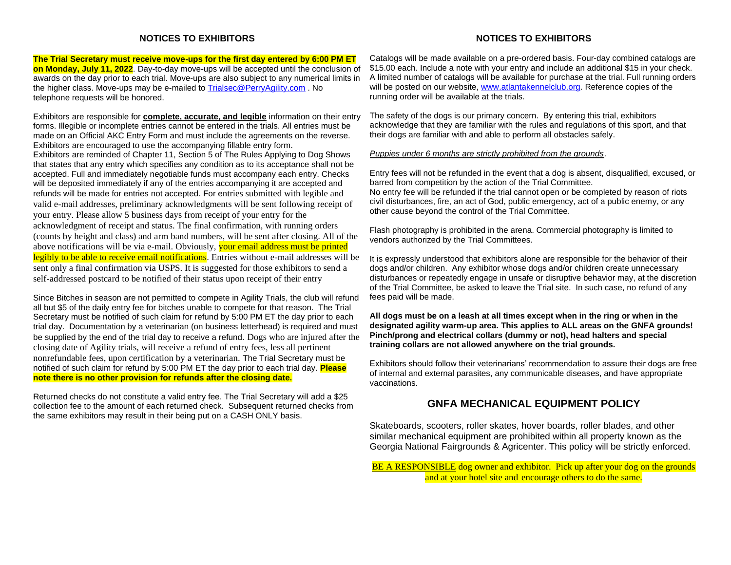#### **NOTICES TO EXHIBITORS**

#### **NOTICES TO EXHIBITORS**

**The Trial Secretary must receive move-ups for the first day entered by 6:00 PM ET on Monday, July 11, 2022**. Day-to-day move-ups will be accepted until the conclusion of awards on the day prior to each trial. Move-ups are also subject to any numerical limits in the higher class. Move-ups may be e-mailed to [Trialsec@PerryAgility.com](mailto:Trialsec@PerryAgility.com) . No telephone requests will be honored.

Exhibitors are responsible for **complete, accurate, and legible** information on their entry forms. Illegible or incomplete entries cannot be entered in the trials. All entries must be made on an Official AKC Entry Form and must include the agreements on the reverse. Exhibitors are encouraged to use the accompanying fillable entry form. Exhibitors are reminded of Chapter 11, Section 5 of The Rules Applying to Dog Shows that states that any entry which specifies any condition as to its acceptance shall not be accepted. Full and immediately negotiable funds must accompany each entry. Checks will be deposited immediately if any of the entries accompanying it are accepted and refunds will be made for entries not accepted. For entries submitted with legible and valid e-mail addresses, preliminary acknowledgments will be sent following receipt of your entry. Please allow 5 business days from receipt of your entry for the acknowledgment of receipt and status. The final confirmation, with running orders (counts by height and class) and arm band numbers, will be sent after closing. All of the above notifications will be via e-mail. Obviously, your email address must be printed legibly to be able to receive email notifications. Entries without e-mail addresses will be sent only a final confirmation via USPS. It is suggested for those exhibitors to send a self-addressed postcard to be notified of their status upon receipt of their entry

Since Bitches in season are not permitted to compete in Agility Trials, the club will refund all but \$5 of the daily entry fee for bitches unable to compete for that reason. The Trial Secretary must be notified of such claim for refund by 5:00 PM ET the day prior to each trial day. Documentation by a veterinarian (on business letterhead) is required and must be supplied by the end of the trial day to receive a refund. Dogs who are injured after the closing date of Agility trials, will receive a refund of entry fees, less all pertinent nonrefundable fees, upon certification by a veterinarian. The Trial Secretary must be notified of such claim for refund by 5:00 PM ET the day prior to each trial day. **Please note there is no other provision for refunds after the closing date.**

Returned checks do not constitute a valid entry fee. The Trial Secretary will add a \$25 collection fee to the amount of each returned check. Subsequent returned checks from the same exhibitors may result in their being put on a CASH ONLY basis.

Catalogs will be made available on a pre-ordered basis. Four-day combined catalogs are \$15.00 each. Include a note with your entry and include an additional \$15 in your check. A limited number of catalogs will be available for purchase at the trial. Full running orders will be posted on our website, [www.atlantakennelclub.org.](http://www.atlantakennelclub.org/) Reference copies of the running order will be available at the trials.

The safety of the dogs is our primary concern. By entering this trial, exhibitors acknowledge that they are familiar with the rules and regulations of this sport, and that their dogs are familiar with and able to perform all obstacles safely.

#### *Puppies under 6 months are strictly prohibited from the grounds*.

Entry fees will not be refunded in the event that a dog is absent, disqualified, excused, or barred from competition by the action of the Trial Committee.

No entry fee will be refunded if the trial cannot open or be completed by reason of riots civil disturbances, fire, an act of God, public emergency, act of a public enemy, or any other cause beyond the control of the Trial Committee.

Flash photography is prohibited in the arena. Commercial photography is limited to vendors authorized by the Trial Committees.

It is expressly understood that exhibitors alone are responsible for the behavior of their dogs and/or children. Any exhibitor whose dogs and/or children create unnecessary disturbances or repeatedly engage in unsafe or disruptive behavior may, at the discretion of the Trial Committee, be asked to leave the Trial site. In such case, no refund of any fees paid will be made.

**All dogs must be on a leash at all times except when in the ring or when in the designated agility warm-up area. This applies to ALL areas on the GNFA grounds! Pinch/prong and electrical collars (dummy or not), head halters and special training collars are not allowed anywhere on the trial grounds.**

Exhibitors should follow their veterinarians' recommendation to assure their dogs are free of internal and external parasites, any communicable diseases, and have appropriate vaccinations.

## **GNFA MECHANICAL EQUIPMENT POLICY**

Skateboards, scooters, roller skates, hover boards, roller blades, and other similar mechanical equipment are prohibited within all property known as the Georgia National Fairgrounds & Agricenter. This policy will be strictly enforced.

BE A RESPONSIBLE dog owner and exhibitor. Pick up after your dog on the grounds and at your hotel site and encourage others to do the same.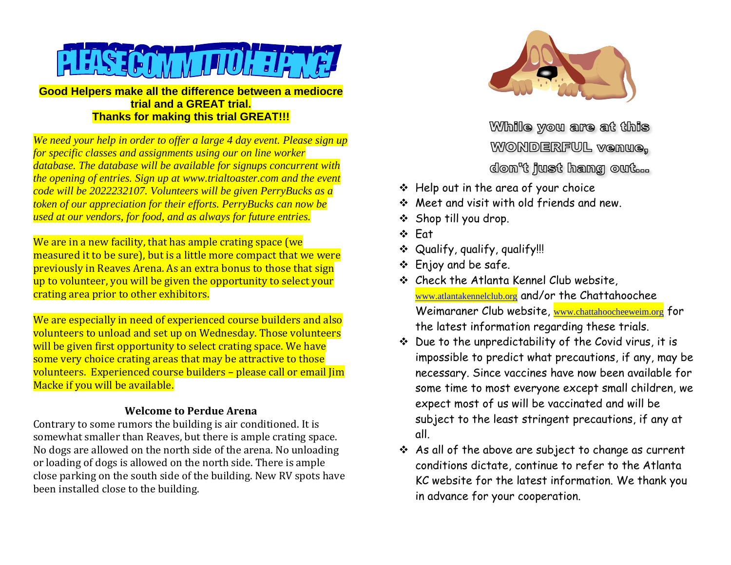

**Good Helpers make all the difference between a mediocre trial and a GREAT trial. Thanks for making this trial GREAT!!!**

*We need your help in order to offer a large 4 day event. Please sign up for specific classes and assignments using our on line worker database. The database will be available for signups concurrent with the opening of entries. Sign up at [www.trialtoaster.com](http://www.trialtoaster.com/) and the event code will be 2022232107. Volunteers will be given PerryBucks as a token of our appreciation for their efforts. PerryBucks can now be used at our vendors, for food, and as always for future entries.*

We are in a new facility, that has ample crating space (we measured it to be sure), but is a little more compact that we were previously in Reaves Arena. As an extra bonus to those that sign up to volunteer, you will be given the opportunity to select your crating area prior to other exhibitors.

We are especially in need of experienced course builders and also volunteers to unload and set up on Wednesday. Those volunteers will be given first opportunity to select crating space. We have some very choice crating areas that may be attractive to those volunteers. Experienced course builders – please call or email Jim Macke if you will be available.

# **Welcome to Perdue Arena**

Contrary to some rumors the building is air conditioned. It is somewhat smaller than Reaves, but there is ample crating space. No dogs are allowed on the north side of the arena. No unloading or loading of dogs is allowed on the north side. There is ample close parking on the south side of the building. New RV spots have been installed close to the building.



While you are at this WONDERFUL venue, don't just hang out...

- ❖ Help out in the area of your choice
- ❖ Meet and visit with old friends and new.
- ❖ Shop till you drop.
- ❖ Eat
- ❖ Qualify, qualify, qualify!!!
- ❖ Enjoy and be safe.
- ❖ Check the Atlanta Kennel Club website, [www.atlantakennelclub.org](http://www.atlantakennelclub.org/) and/or the Chattahoochee Weimaraner Club website, [www.chattahoocheeweim.org](http://www.chattahoocheeweim.org/) for the latest information regarding these trials.
- ❖ Due to the unpredictability of the Covid virus, it is impossible to predict what precautions, if any, may be necessary. Since vaccines have now been available for some time to most everyone except small children, we expect most of us will be vaccinated and will be subject to the least stringent precautions, if any at all.
- ❖ As all of the above are subject to change as current conditions dictate, continue to refer to the Atlanta KC website for the latest information. We thank you in advance for your cooperation.